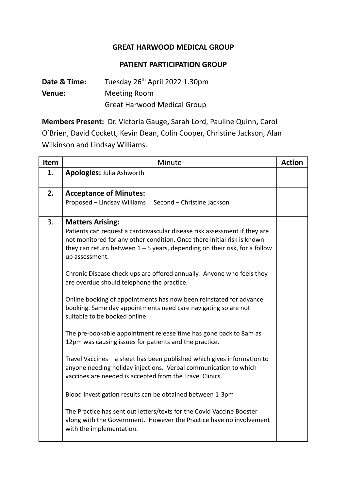## **GREAT HARWOOD MEDICAL GROUP**

## **PATIENT PARTICIPATION GROUP**

**Date & Time:** Tuesday 26 th April 2022 1.30pm **Venue:** Meeting Room Great Harwood Medical Group

**Members Present:** Dr. Victoria Gauge**,** Sarah Lord, Pauline Quinn**,** Carol O'Brien, David Cockett, Kevin Dean, Colin Cooper, Christine Jackson, Alan Wilkinson and Lindsay Williams.

| Item | Minute                                                                                                                                                                                                                                                                                                                                                                                                                                                                                                                                                                                                                                                                                                                                                                                                                                                                                                                                                                                                                                                                                                                                                               | <b>Action</b> |
|------|----------------------------------------------------------------------------------------------------------------------------------------------------------------------------------------------------------------------------------------------------------------------------------------------------------------------------------------------------------------------------------------------------------------------------------------------------------------------------------------------------------------------------------------------------------------------------------------------------------------------------------------------------------------------------------------------------------------------------------------------------------------------------------------------------------------------------------------------------------------------------------------------------------------------------------------------------------------------------------------------------------------------------------------------------------------------------------------------------------------------------------------------------------------------|---------------|
| 1.   | <b>Apologies: Julia Ashworth</b>                                                                                                                                                                                                                                                                                                                                                                                                                                                                                                                                                                                                                                                                                                                                                                                                                                                                                                                                                                                                                                                                                                                                     |               |
| 2.   | <b>Acceptance of Minutes:</b><br>Proposed - Lindsay Williams<br>Second - Christine Jackson                                                                                                                                                                                                                                                                                                                                                                                                                                                                                                                                                                                                                                                                                                                                                                                                                                                                                                                                                                                                                                                                           |               |
| 3.   | <b>Matters Arising:</b><br>Patients can request a cardiovascular disease risk assessment if they are<br>not monitored for any other condition. Once there initial risk is known<br>they can return between $1 - 5$ years, depending on their risk, for a follow<br>up assessment.<br>Chronic Disease check-ups are offered annually. Anyone who feels they<br>are overdue should telephone the practice.<br>Online booking of appointments has now been reinstated for advance<br>booking. Same day appointments need care navigating so are not<br>suitable to be booked online.<br>The pre-bookable appointment release time has gone back to 8am as<br>12pm was causing issues for patients and the practice.<br>Travel Vaccines - a sheet has been published which gives information to<br>anyone needing holiday injections. Verbal communication to which<br>vaccines are needed is accepted from the Travel Clinics.<br>Blood investigation results can be obtained between 1-3pm<br>The Practice has sent out letters/texts for the Covid Vaccine Booster<br>along with the Government. However the Practice have no involvement<br>with the implementation. |               |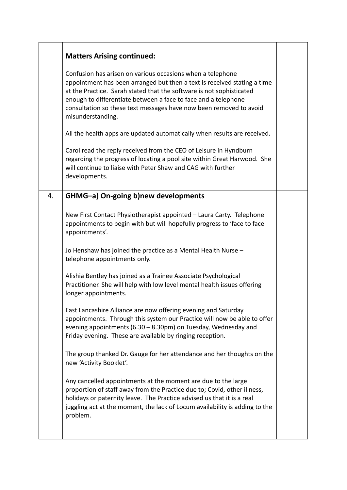| <b>Matters Arising continued:</b>                                                                                                                                                                                                                                                                                                                                           |  |
|-----------------------------------------------------------------------------------------------------------------------------------------------------------------------------------------------------------------------------------------------------------------------------------------------------------------------------------------------------------------------------|--|
| Confusion has arisen on various occasions when a telephone<br>appointment has been arranged but then a text is received stating a time<br>at the Practice. Sarah stated that the software is not sophisticated<br>enough to differentiate between a face to face and a telephone<br>consultation so these text messages have now been removed to avoid<br>misunderstanding. |  |
| All the health apps are updated automatically when results are received.                                                                                                                                                                                                                                                                                                    |  |
| Carol read the reply received from the CEO of Leisure in Hyndburn<br>regarding the progress of locating a pool site within Great Harwood. She<br>will continue to liaise with Peter Shaw and CAG with further<br>developments.                                                                                                                                              |  |
| GHMG-a) On-going b)new developments                                                                                                                                                                                                                                                                                                                                         |  |
| New First Contact Physiotherapist appointed - Laura Carty. Telephone<br>appointments to begin with but will hopefully progress to 'face to face<br>appointments'.                                                                                                                                                                                                           |  |
| Jo Henshaw has joined the practice as a Mental Health Nurse -<br>telephone appointments only.                                                                                                                                                                                                                                                                               |  |
| Alishia Bentley has joined as a Trainee Associate Psychological<br>Practitioner. She will help with low level mental health issues offering<br>longer appointments.                                                                                                                                                                                                         |  |
| East Lancashire Alliance are now offering evening and Saturday<br>appointments. Through this system our Practice will now be able to offer<br>evening appointments (6.30 - 8.30pm) on Tuesday, Wednesday and<br>Friday evening. These are available by ringing reception.                                                                                                   |  |
| The group thanked Dr. Gauge for her attendance and her thoughts on the<br>new 'Activity Booklet'.                                                                                                                                                                                                                                                                           |  |
| Any cancelled appointments at the moment are due to the large<br>proportion of staff away from the Practice due to; Covid, other illness,<br>holidays or paternity leave. The Practice advised us that it is a real<br>juggling act at the moment, the lack of Locum availability is adding to the<br>problem.                                                              |  |
|                                                                                                                                                                                                                                                                                                                                                                             |  |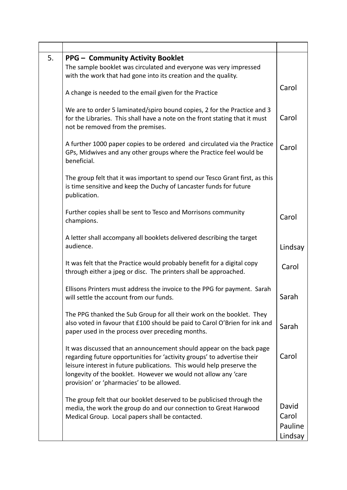| 5. | <b>PPG - Community Activity Booklet</b><br>The sample booklet was circulated and everyone was very impressed<br>with the work that had gone into its creation and the quality.                                                                                                                                                          |                                      |
|----|-----------------------------------------------------------------------------------------------------------------------------------------------------------------------------------------------------------------------------------------------------------------------------------------------------------------------------------------|--------------------------------------|
|    | A change is needed to the email given for the Practice                                                                                                                                                                                                                                                                                  | Carol                                |
|    | We are to order 5 laminated/spiro bound copies, 2 for the Practice and 3<br>for the Libraries. This shall have a note on the front stating that it must<br>not be removed from the premises.                                                                                                                                            | Carol                                |
|    | A further 1000 paper copies to be ordered and circulated via the Practice<br>GPs, Midwives and any other groups where the Practice feel would be<br>beneficial.                                                                                                                                                                         | Carol                                |
|    | The group felt that it was important to spend our Tesco Grant first, as this<br>is time sensitive and keep the Duchy of Lancaster funds for future<br>publication.                                                                                                                                                                      |                                      |
|    | Further copies shall be sent to Tesco and Morrisons community<br>champions.                                                                                                                                                                                                                                                             | Carol                                |
|    | A letter shall accompany all booklets delivered describing the target<br>audience.                                                                                                                                                                                                                                                      | Lindsay                              |
|    | It was felt that the Practice would probably benefit for a digital copy<br>through either a jpeg or disc. The printers shall be approached.                                                                                                                                                                                             | Carol                                |
|    | Ellisons Printers must address the invoice to the PPG for payment. Sarah<br>will settle the account from our funds.                                                                                                                                                                                                                     | Sarah                                |
|    | The PPG thanked the Sub Group for all their work on the booklet. They<br>also voted in favour that £100 should be paid to Carol O'Brien for ink and<br>paper used in the process over preceding months.                                                                                                                                 | Sarah                                |
|    | It was discussed that an announcement should appear on the back page<br>regarding future opportunities for 'activity groups' to advertise their<br>leisure interest in future publications. This would help preserve the<br>longevity of the booklet. However we would not allow any 'care<br>provision' or 'pharmacies' to be allowed. | Carol                                |
|    | The group felt that our booklet deserved to be publicised through the<br>media, the work the group do and our connection to Great Harwood<br>Medical Group. Local papers shall be contacted.                                                                                                                                            | David<br>Carol<br>Pauline<br>Lindsay |